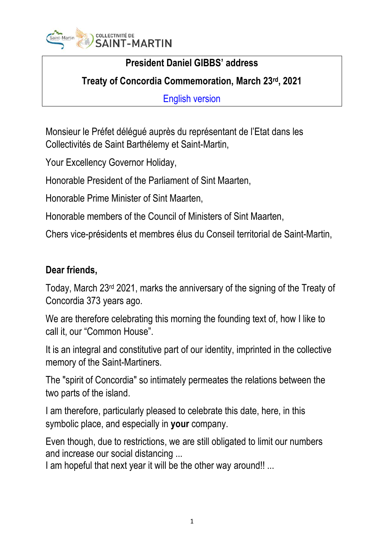

## **President Daniel GIBBS' address**

**Treaty of Concordia Commemoration, March 23rd, 2021**

English version

Monsieur le Préfet délégué auprès du représentant de l'Etat dans les Collectivités de Saint Barthélemy et Saint-Martin,

Your Excellency Governor Holiday,

Honorable President of the Parliament of Sint Maarten,

Honorable Prime Minister of Sint Maarten,

Honorable members of the Council of Ministers of Sint Maarten,

Chers vice-présidents et membres élus du Conseil territorial de Saint-Martin,

## **Dear friends,**

Today, March 23rd 2021, marks the anniversary of the signing of the Treaty of Concordia 373 years ago.

We are therefore celebrating this morning the founding text of, how I like to call it, our "Common House".

It is an integral and constitutive part of our identity, imprinted in the collective memory of the Saint-Martiners.

The "spirit of Concordia" so intimately permeates the relations between the two parts of the island.

I am therefore, particularly pleased to celebrate this date, here, in this symbolic place, and especially in **your** company.

Even though, due to restrictions, we are still obligated to limit our numbers and increase our social distancing ...

I am hopeful that next year it will be the other way around!! ...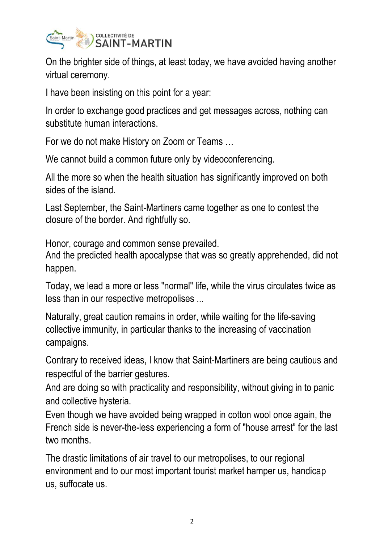

On the brighter side of things, at least today, we have avoided having another virtual ceremony.

I have been insisting on this point for a year:

In order to exchange good practices and get messages across, nothing can substitute human interactions.

For we do not make History on Zoom or Teams …

We cannot build a common future only by videoconferencing.

All the more so when the health situation has significantly improved on both sides of the island.

Last September, the Saint-Martiners came together as one to contest the closure of the border. And rightfully so.

Honor, courage and common sense prevailed.

And the predicted health apocalypse that was so greatly apprehended, did not happen.

Today, we lead a more or less "normal" life, while the virus circulates twice as less than in our respective metropolises ...

Naturally, great caution remains in order, while waiting for the life-saving collective immunity, in particular thanks to the increasing of vaccination campaigns.

Contrary to received ideas, I know that Saint-Martiners are being cautious and respectful of the barrier gestures.

And are doing so with practicality and responsibility, without giving in to panic and collective hysteria.

Even though we have avoided being wrapped in cotton wool once again, the French side is never-the-less experiencing a form of "house arrest" for the last two months.

The drastic limitations of air travel to our metropolises, to our regional environment and to our most important tourist market hamper us, handicap us, suffocate us.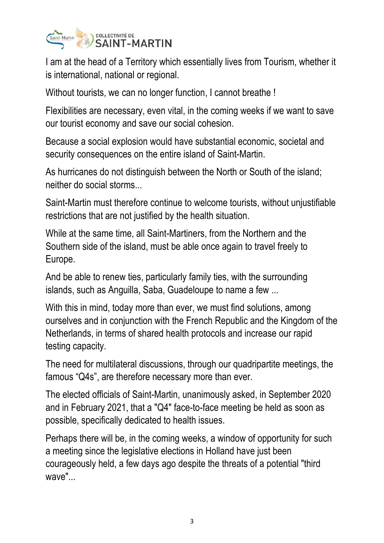

I am at the head of a Territory which essentially lives from Tourism, whether it is international, national or regional.

Without tourists, we can no longer function, I cannot breathe !

Flexibilities are necessary, even vital, in the coming weeks if we want to save our tourist economy and save our social cohesion.

Because a social explosion would have substantial economic, societal and security consequences on the entire island of Saint-Martin.

As hurricanes do not distinguish between the North or South of the island; neither do social storms...

Saint-Martin must therefore continue to welcome tourists, without unjustifiable restrictions that are not justified by the health situation.

While at the same time, all Saint-Martiners, from the Northern and the Southern side of the island, must be able once again to travel freely to Europe.

And be able to renew ties, particularly family ties, with the surrounding islands, such as Anguilla, Saba, Guadeloupe to name a few ...

With this in mind, today more than ever, we must find solutions, among ourselves and in conjunction with the French Republic and the Kingdom of the Netherlands, in terms of shared health protocols and increase our rapid testing capacity.

The need for multilateral discussions, through our quadripartite meetings, the famous "Q4s", are therefore necessary more than ever.

The elected officials of Saint-Martin, unanimously asked, in September 2020 and in February 2021, that a "Q4" face-to-face meeting be held as soon as possible, specifically dedicated to health issues.

Perhaps there will be, in the coming weeks, a window of opportunity for such a meeting since the legislative elections in Holland have just been courageously held, a few days ago despite the threats of a potential "third wave"...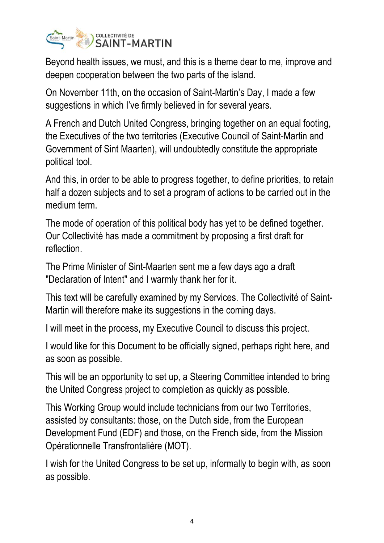

Beyond health issues, we must, and this is a theme dear to me, improve and deepen cooperation between the two parts of the island.

On November 11th, on the occasion of Saint-Martin's Day, I made a few suggestions in which I've firmly believed in for several years.

A French and Dutch United Congress, bringing together on an equal footing, the Executives of the two territories (Executive Council of Saint-Martin and Government of Sint Maarten), will undoubtedly constitute the appropriate political tool.

And this, in order to be able to progress together, to define priorities, to retain half a dozen subjects and to set a program of actions to be carried out in the medium term.

The mode of operation of this political body has yet to be defined together. Our Collectivité has made a commitment by proposing a first draft for reflection.

The Prime Minister of Sint-Maarten sent me a few days ago a draft "Declaration of Intent" and I warmly thank her for it.

This text will be carefully examined by my Services. The Collectivité of Saint-Martin will therefore make its suggestions in the coming days.

I will meet in the process, my Executive Council to discuss this project.

I would like for this Document to be officially signed, perhaps right here, and as soon as possible.

This will be an opportunity to set up, a Steering Committee intended to bring the United Congress project to completion as quickly as possible.

This Working Group would include technicians from our two Territories, assisted by consultants: those, on the Dutch side, from the European Development Fund (EDF) and those, on the French side, from the Mission Opérationnelle Transfrontalière (MOT).

I wish for the United Congress to be set up, informally to begin with, as soon as possible.